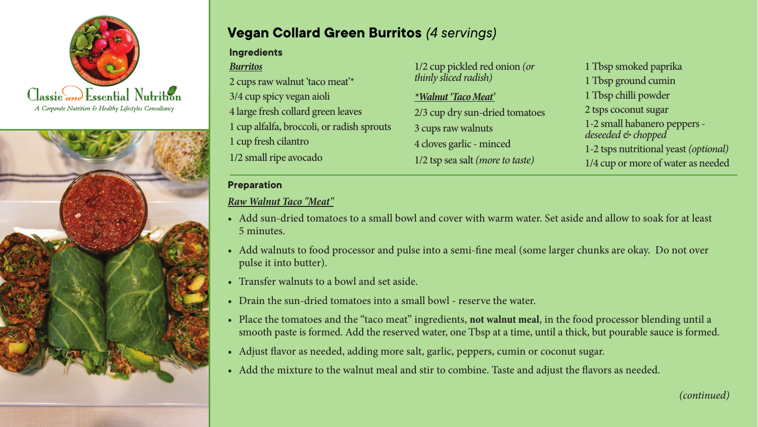



# **Vegan Collard Green Burritos** *(4 servings)*

#### **Ingredients** *Burritos* 2 cups raw walnut 'taco meat'\* 3/4 cup spicy vegan aioli 4 large fresh collard green leaves 1 cup alfalfa, broccoli, or radish sprouts 1 cup fresh cilantro 1/2 small ripe avocado *thinly sliced radish) \*Walnut 'Taco Meat'* 3 cups raw walnuts

1/2 cup pickled red onion *(or*  2/3 cup dry sun-dried tomatoes 4 cloves garlic - minced 1/2 tsp sea salt *(more to taste)*

1 Tbsp smoked paprika 1 Tbsp ground cumin 1 Tbsp chilli powder 2 tsps coconut sugar 1-2 small habanero peppers- *deseeded & chopped*  1-2 tsps nutritional yeast*(optional)* 1/4 cup or more of water as needed

#### **Preparation**

## *Raw Walnut Taco "Meat"*

- Add sun-dried tomatoes to a small bowl and cover with warm water. Set aside and allow to soak for at least  $\sim$  Solitation, rinse at least 8 hours. Drain, rinse and put the cleaned beans into a large pot with cold water pot with cold water pot with cold water pot with cold water pot with cold water pot with cold water pot with 5 minutes.
- Add walnuts to food processor and pulse into a semi-fine meal (some larger chunks are okay. Do not over through of any foam that continues which continues which continues which continues which continues which continues which continues which continues which continues which continues which continues which continues which conti
- Transfer walnuts to a bowl and set aside. Dissolve the bouillon cube in the bouillon cube in the bouillon cube in the bouillon cube in the bouillon cube in the bouillon cube in the bouillon cube in the bouillon cube in t
- Drain the sun-dried tomatoes into a small bowl reserve the water.
- Place the tomatoes and the "taco meat" ingredients, not walnut meal, in the food processor blending until a smooth paste is formed. Add the reserved water, one Tbsp at a time, until a thick, but pourable sauce is formed.
- Adjust flavor as needed, adding more salt, garlic, peppers, cumin or coconut sugar.
- Add the mixture to the walnut meal and stir to combine. Taste and adjust the flavors as needed.

*(continued)*